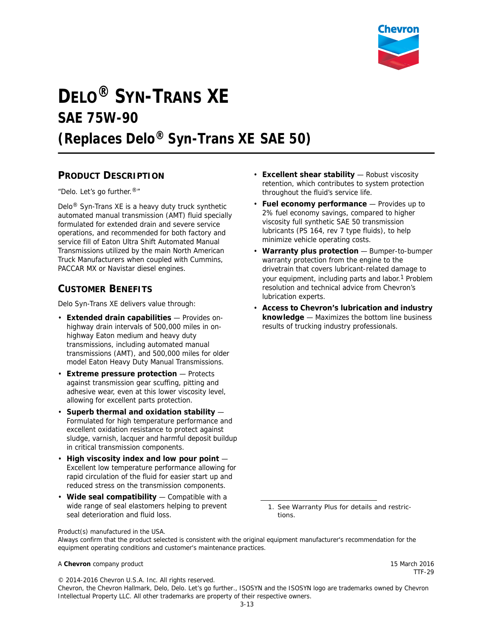

# **DELO® SYN-TRANS XE SAE 75W-90 (Replaces Delo® Syn-Trans XE SAE 50)**

## **PRODUCT DESCRIPTION**

"Delo. Let's go further.®"

Delo® Syn-Trans XE is a heavy duty truck synthetic automated manual transmission (AMT) fluid specially formulated for extended drain and severe service operations, and recommended for both factory and service fill of Eaton Ultra Shift Automated Manual Transmissions utilized by the main North American Truck Manufacturers when coupled with Cummins, PACCAR MX or Navistar diesel engines.

# **CUSTOMER BENEFITS**

Delo Syn-Trans XE delivers value through:

- **Extended drain capabilities** Provides onhighway drain intervals of 500,000 miles in onhighway Eaton medium and heavy duty transmissions, including automated manual transmissions (AMT), and 500,000 miles for older model Eaton Heavy Duty Manual Transmissions.
- **Extreme pressure protection** Protects against transmission gear scuffing, pitting and adhesive wear, even at this lower viscosity level, allowing for excellent parts protection.
- **Superb thermal and oxidation stability**  Formulated for high temperature performance and excellent oxidation resistance to protect against sludge, varnish, lacquer and harmful deposit buildup in critical transmission components.
- **High viscosity index and low pour point**  Excellent low temperature performance allowing for rapid circulation of the fluid for easier start up and reduced stress on the transmission components.
- **Wide seal compatibility** Compatible with a wide range of seal elastomers helping to prevent seal deterioration and fluid loss.
- **Excellent shear stability** Robust viscosity retention, which contributes to system protection throughout the fluid's service life.
- **Fuel economy performance** Provides up to 2% fuel economy savings, compared to higher viscosity full synthetic SAE 50 transmission lubricants (PS 164, rev 7 type fluids), to help minimize vehicle operating costs.
- **Warranty plus protection** Bumper-to-bumper warranty protection from the engine to the drivetrain that covers lubricant-related damage to your equipment, including parts and labor.<sup>1</sup> Problem resolution and technical advice from Chevron's lubrication experts.
- **Access to Chevron's lubrication and industry knowledge** — Maximizes the bottom line business results of trucking industry professionals.

1. See Warranty Plus for details and restrictions.

Product(s) manufactured in the USA.

Always confirm that the product selected is consistent with the original equipment manufacturer's recommendation for the equipment operating conditions and customer's maintenance practices.

#### A **Chevron** company product 15 March 2016

TTF-29

© 2014-2016 Chevron U.S.A. Inc. All rights reserved. Chevron, the Chevron Hallmark, Delo, Delo. Let's go further., ISOSYN and the ISOSYN logo are trademarks owned by Chevron Intellectual Property LLC. All other trademarks are property of their respective owners.